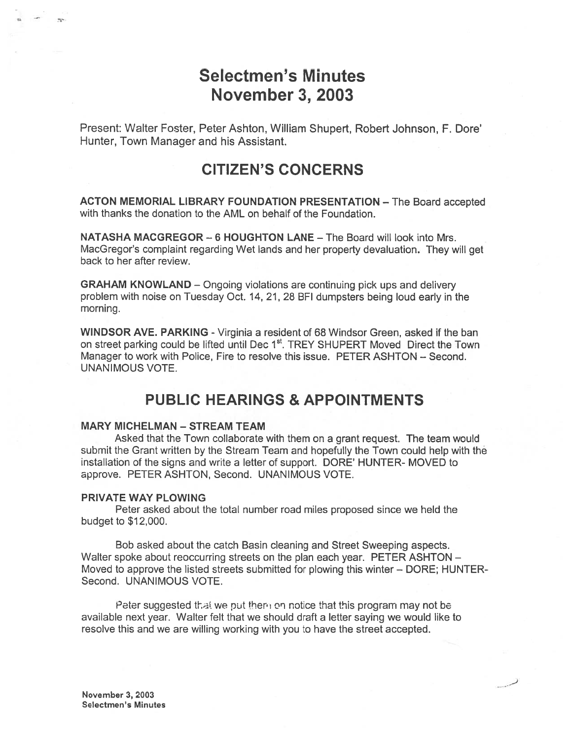# Selectmen's Minutes November 3, 2003

Present: Walter Foster, Peter Ashton, William Shupert, Robert Johnson, F. Dore' Hunter, Town Manager and his Assistant.

# CITIZEN'S CONCERNS

ACTON MEMORIAL LIBRARY FOUNDATION PRESENTATION — The Board accepted with thanks the donation to the AML on behalf of the Foundation.

NATASHA MACGREGOR —6 HOUGHTON LANE — The Board will look into Mrs. MacGregor's complaint regarding Wet lands and her property devaluation. They will ge<sup>t</sup> back to her after review.

GRAHAM KNOWLAND — Ongoing violations are continuing pick ups and delivery problem with noise on Tuesday Oct. 14, 21,28 BFI dumpsters being loud early in the morning.

WINDSOR AVE. PARKING - Virginia a resident of 68 Windsor Green, asked if the ban on street parking could be lifted until Dec 1<sup>st</sup>. TREY SHUPERT Moved Direct the Town Manager to work with Police, Fire to resolve this issue. PETER ASHTON — Second. UNANIMOUS VOTE.

# PUBLIC HEARINGS & APPOINTMENTS

#### **MARY MICHELMAN - STREAM TEAM**

Asked that the Town collaborate with them on <sup>a</sup> gran<sup>t</sup> request. The team would submit the Grant written by the Stream Team and hopefully the Town could help with the installation of the signs and write <sup>a</sup> letter of support. DORE' HUNTER- MOVED to approve. PETER ASHTON, Second. UNANIMOUS VOTE.

#### PRIVATE WAY PLOWING

Peter asked about the total number road miles proposed since we held the budget to \$12,000.

Bob asked about the catch Basin cleaning and Street Sweeping aspects. Walter spoke about reoccurring streets on the plan each year. PETER ASHTON -Moved to approve the listed streets submitted for plowing this winter — DORE; HUNTER-Second. UNANIMOUS VOTE.

Peter suggested that we put them on notice that this program may not be available next year. Walter felt that we should draft <sup>a</sup> letter saying we would like to resolve this and we are willing working with you to have the street accepted.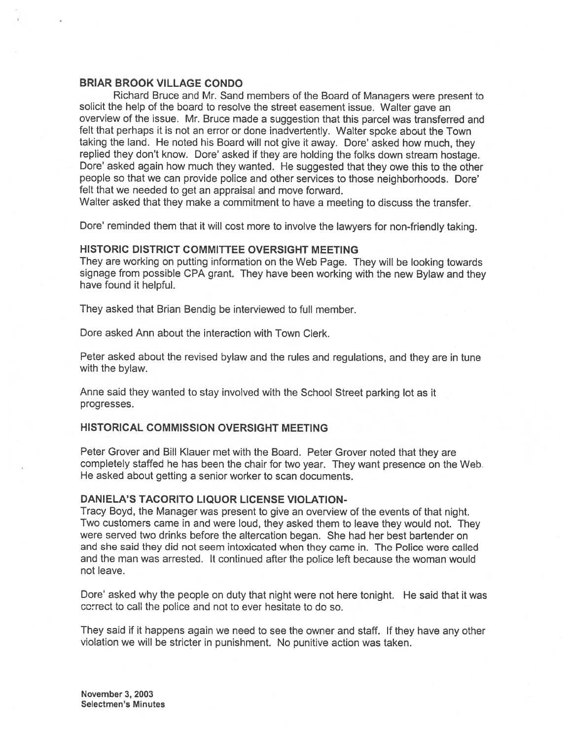#### BRIAR BROOK VILLAGE CONDO

Richard Bruce and Mr. Sand members of the Board of Managers were presen<sup>t</sup> to solicit the help of the board to resolve the street easement issue. Walter gave an overview of the issue. Mr. Bruce made <sup>a</sup> suggestion that this parce<sup>l</sup> was transferred and felt that perhaps it is not an error or done inadvertently. Walter spoke about the Town taking the land. He noted his Board will not <sup>g</sup>ive it away. Dore' asked how much, they replied they don't know. Dore' asked if they are holding the folks down stream hostage. Dore' asked again how much they wanted. He suggested that they owe this to the other people so that we can provide police and other services to those neighborhoods. Dore' felt that we needed to ge<sup>t</sup> an appraisal and move forward.

Walter asked that they make <sup>a</sup> commitment to have <sup>a</sup> meeting to discuss the transfer.

Dore' reminded them that it will cost more to involve the lawyers for non-friendly taking.

#### HISTORIC DISTRICT COMMITTEE OVERSIGHT MEETING

They are working on putting information on the Web Page. They will be looking towards signage from possible CPA grant. They have been working with the new Bylaw and they have found it helpful.

They asked that Brian Bendig be interviewed to full member.

Dore asked Ann about the interaction with Town Clerk.

Peter asked about the revised bylaw and the rules and regulations, and they are in tune with the bylaw.

Anne said they wanted to stay involved with the School Street parking lot as it progresses.

#### HISTORICAL COMMISSION OVERSIGHT MEETING

Peter Grover and Bill Klauer met with the Board. Peter Grover noted that they are completely staffed he has been the chair for two year. They want presence on the Web He asked about getting <sup>a</sup> senior worker to scan documents.

#### DANIELA'S TACORITO LIQUOR LICENSE VIOLATION-

Tracy Boyd, the Manager was presen<sup>t</sup> to <sup>g</sup>ive an overview of the events of that night. Two customers came in and were loud, they asked them to leave they would not. They were served two drinks before the altercation began. She had her best bartender on and she said they did not seem intoxicated when they came in. The Police were called and the man was arrested. It continued after the police left because the woman would not leave.

Dore' asked why the people on duty that night were not here tonight. He said that it was correct to call the police and not to ever hesitate to do so.

They said if it happens again we need to see the owner and staff. If they have any other violation we will be stricter in punishment. No punitive action was taken.

November 3, 2003 Selectmen's Minutes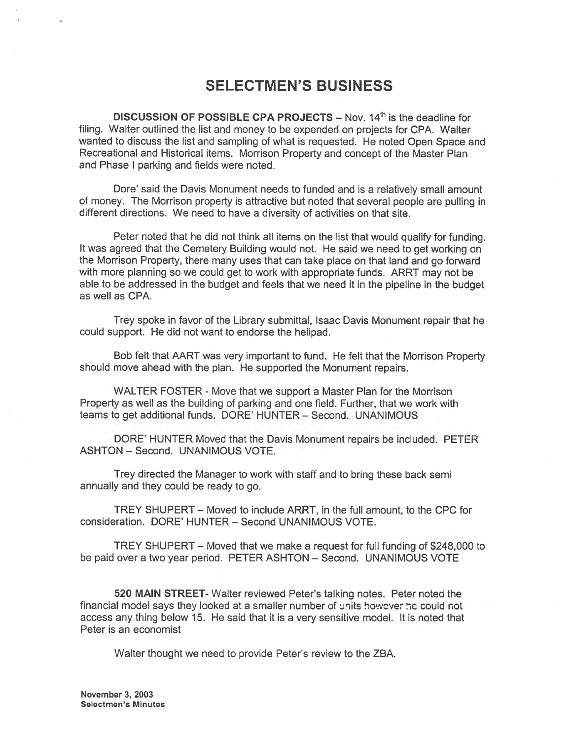# SELECTMEN'S BUSINESS

DISCUSSION OF POSSIBLE CPA PROJECTS  $-$  Nov. 14<sup>th</sup> is the deadline for filing. Walter outlined the list and money to be expended on projects for CPA. Walter wanted to discuss the list and sampling of what is requested. He noted Open Space and Recreational and Historical items. Morrison Property and concep<sup>t</sup> of the Master Plan and Phase I parking and fields were noted.

Dore' said the Davis Monument needs to funded and is <sup>a</sup> relatively small amount of money. The Morrison property is attractive but noted that several people are pulling in different directions. We need to have <sup>a</sup> diversity of activities on that site.

Peter noted that he did not think all items on the list that would qualify for funding. It was agreed that the Cemetery Building would not. He said we need to ge<sup>t</sup> working on the Morrison Property, there many uses that can take <sup>p</sup>lace on that land and go forward with more <sup>p</sup>lanning so we could ge<sup>t</sup> to work with appropriate funds. ARRT may not be able to be addressed in the budget and feels that we need it in the <sup>p</sup>ipeline in the budget as well as CPA.

Trey spoke in favor of the Library submittal, Isaac Davis Monument repair that he could support. He did not want to endorse the helipad.

Bob felt that AART was very important to fund. He felt that the Morrison Property should move ahead with the <sup>p</sup>lan. He supported the Monument repairs.

WALTER FOSTER - Move that we suppor<sup>t</sup> <sup>a</sup> Master Plan for the Morrison Property as well as the building of parking and one field. Further, that we work with teams to ge<sup>t</sup> additional funds. DORE' HUNTER — Second. UNANIMOUS

DORE' HUNTER Moved that the Davis Monument repairs be included. PETER ASHTON — Second. UNANIMOUS VOTE.

Trey directed the Manager to work with staff and to bring these back semi annually and they could be ready to go.

TREY SHUPERT — Moved to include ARRT, in the full amount, to the CPC for consideration. DORE' HUNTER — Second UNANIMOUS VOTE.

TREY SHUPERT — Moved that we make <sup>a</sup> reques<sup>t</sup> for full funding of \$248,000 to be paid over <sup>a</sup> two year period. PETER ASHTON — Second. UNANIMOUS VOTE

520 MAIN STREET- Walter reviewed Peter's talking notes. Peter noted the financial model says they looked at a smaller number of units however he could not access any thing below 15. He said that it is <sup>a</sup> very sensitive model. It is noted that Peter is an economist

Walter thought we need to provide Peter's review to the ZBA.

November 3, 2003 Selectmen's Minutes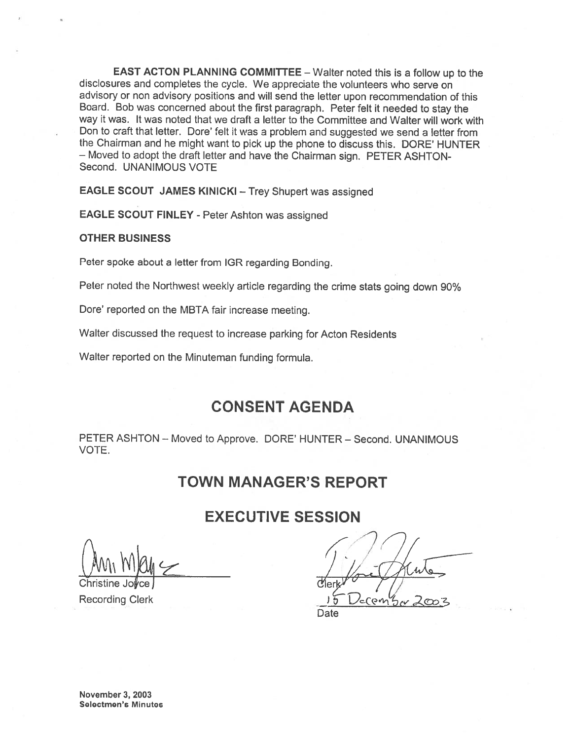EAST ACTON PLANNING COMMITTEE — Walter noted this is <sup>a</sup> follow up to the disclosures and completes the cycle. We appreciate the volunteers who serve on advisory or non advisory positions and will send the letter upon recommendation of this Board. Bob was concerned about the first paragraph. Peter felt it needed to stay the way it was. It was noted that we draft <sup>a</sup> letter to the Committee and Walter will work with Don to craft that letter. Dore' felt it was a problem and suggested we send a letter from the Chairman and he might want to <sup>p</sup>ick up the <sup>p</sup>hone to discuss this. DORE' HUNTER — Moved to adopt the draft letter and have the Chairman sign. PETER ASHTON Second. UNANIMOUS VOTE

EAGLE SCOUT JAMES KINICKI — Trey Shupert was assigned

EAGLE SCOUT FINLEY - Peter Ashton was assigned

#### OTHER BUSINESS

Peter spoke about <sup>a</sup> letter from IGR regarding Bonding.

Peter noted the Northwest weekly article regarding the crime stats going down 90%

Dore' reported on the MBTA fair increase meeting.

Walter discussed the request to increase parking for Acton Residents

Walter reported on the Minuteman funding formula.

## CONSENT AGENDA

PETER ASHTON — Moved to Approve. DORE' HUNTER — Second. UNANIMOUS VOTE.

## TOWN MANAGER'S REPORT

## EXECUTIVE SESSION

Christine Jolyce bill and the contract of the contract of the contract of the contract of the contract of the contract of the contract of the contract of the contract of the contract of the contract of the contract of the Recording Clerk

Date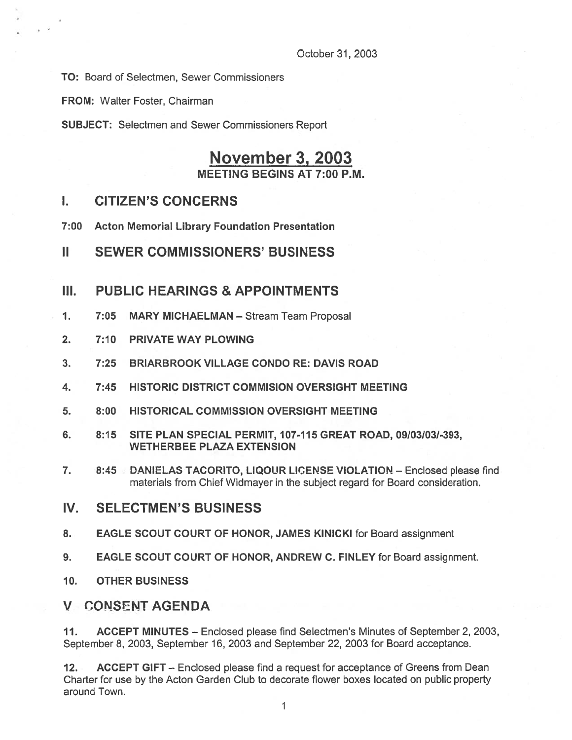TO: Board of Selectmen, Sewer Commissioners

FROM: Walter Foster, Chairman

SUBJECT: Selectmen and Sewer Commissioners Report

# November 3, 2003 MEETING BEGINS AT 7:00 P.M.

### I. CITIZEN'S CONCERNS

- 7:00 Acton Memorial Library Foundation Presentation
- II SEWER COMMISSIONERS' BUSINESS

#### III. PUBLIC HEARINGS & APPOINTMENTS

- 1. 7:05 MARY MICHAELMAN Stream Team Proposal
- 2. 7:10 PRIVATE WAY PLOWING
- 3. 7:25 BRIARBROOK VILLAGE CONDO RE: DAVIS ROAD
- 4. 7:45 HISTORIC DISTRICT COMMISION OVERSIGHT MEETING
- 5. 8:00 HISTORICAL COMMISSION OVERSIGHT MEETING
- 6. 8:15 SITE PLAN SPECIAL PERMIT, 107-115 GREAT ROAD, 09/03103/-393, WETHERBEE PLAZA EXTENSION
- 7. 8:45 DANIELAS TACORITO, LIQOUR LICENSE VIOLATION Enclosed please find materials from Chief Widmayer in the subject regard for Board consideration.
- IV. SELECTMEN'S BUSINESS
- 8. EAGLE SCOUT COURT OF HONOR, JAMES KINICKI for Board assignment
- 9. EAGLE SCOUT COURT OF HONOR, ANDREW C. FINLEY for Board assignment.
- 10. OTHER BUSINESS

### V CONSENT AGENDA

11. ACCEPT MINUTES — Enclosed please find Selectmen's Minutes of September 2, 2003, September 8, 2003, September 16, 2003 and September 22, 2003 for Board acceptance.

12. ACCEPT GIFT - Enclosed please find a request for acceptance of Greens from Dean Charter for use by the Acton Garden Club to decorate flower boxes located on public property around Town.